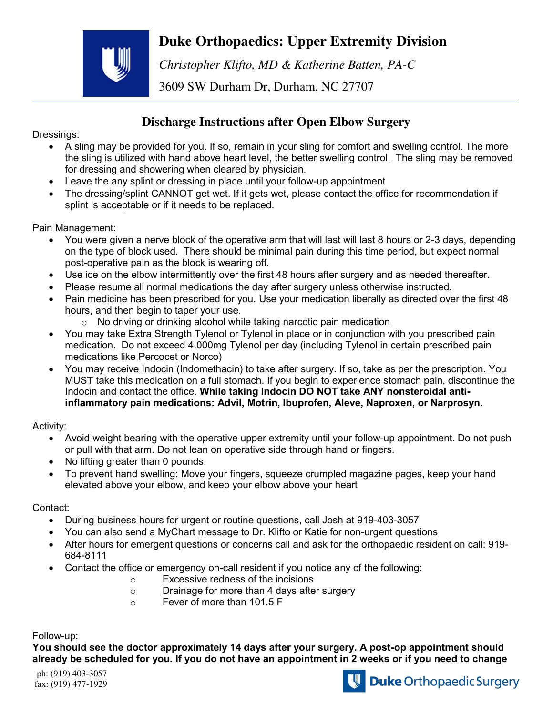## **Duke Orthopaedics: Upper Extremity Division**



*Christopher Klifto, MD & Katherine Batten, PA-C* 

3609 SW Durham Dr, Durham, NC 27707

## **Discharge Instructions after Open Elbow Surgery**

Dressings:

- A sling may be provided for you. If so, remain in your sling for comfort and swelling control. The more the sling is utilized with hand above heart level, the better swelling control. The sling may be removed for dressing and showering when cleared by physician.
- Leave the any splint or dressing in place until your follow-up appointment
- The dressing/splint CANNOT get wet. If it gets wet, please contact the office for recommendation if splint is acceptable or if it needs to be replaced.

Pain Management:

- You were given a nerve block of the operative arm that will last will last 8 hours or 2-3 days, depending on the type of block used. There should be minimal pain during this time period, but expect normal post-operative pain as the block is wearing off.
- Use ice on the elbow intermittently over the first 48 hours after surgery and as needed thereafter.
- Please resume all normal medications the day after surgery unless otherwise instructed.
- Pain medicine has been prescribed for you. Use your medication liberally as directed over the first 48 hours, and then begin to taper your use.
	- $\circ$  No driving or drinking alcohol while taking narcotic pain medication
- You may take Extra Strength Tylenol or Tylenol in place or in conjunction with you prescribed pain medication. Do not exceed 4,000mg Tylenol per day (including Tylenol in certain prescribed pain medications like Percocet or Norco)
- You may receive Indocin (Indomethacin) to take after surgery. If so, take as per the prescription. You MUST take this medication on a full stomach. If you begin to experience stomach pain, discontinue the Indocin and contact the office. **While taking Indocin DO NOT take ANY nonsteroidal antiinflammatory pain medications: Advil, Motrin, Ibuprofen, Aleve, Naproxen, or Narprosyn.**

Activity:

- Avoid weight bearing with the operative upper extremity until your follow-up appointment. Do not push or pull with that arm. Do not lean on operative side through hand or fingers.
- No lifting greater than 0 pounds.
- To prevent hand swelling: Move your fingers, squeeze crumpled magazine pages, keep your hand elevated above your elbow, and keep your elbow above your heart

## Contact:

- During business hours for urgent or routine questions, call Josh at 919-403-3057
- You can also send a MyChart message to Dr. Klifto or Katie for non-urgent questions
- After hours for emergent questions or concerns call and ask for the orthopaedic resident on call: 919- 684-8111
- Contact the office or emergency on-call resident if you notice any of the following:
	- o Excessive redness of the incisions
	- o Drainage for more than 4 days after surgery
	- o Fever of more than 101.5 F

Follow-up:

**You should see the doctor approximately 14 days after your surgery. A post-op appointment should already be scheduled for you. If you do not have an appointment in 2 weeks or if you need to change**